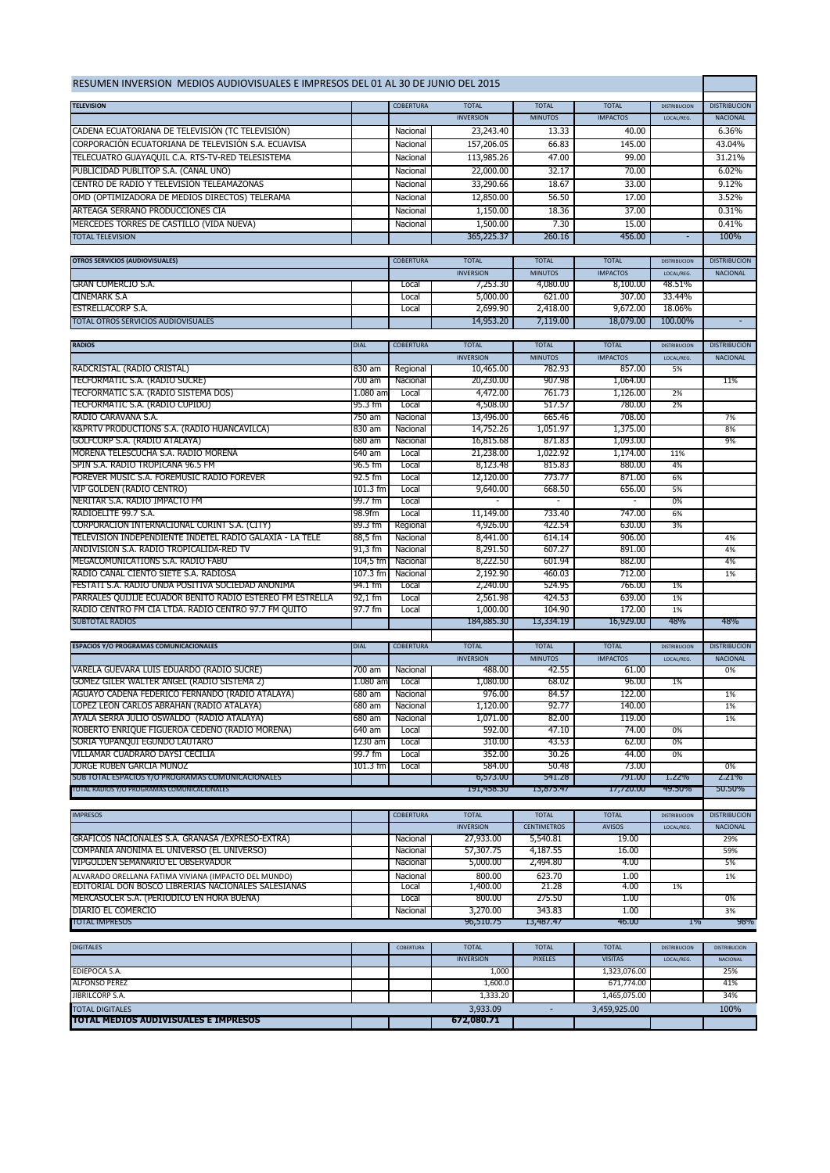| RESUMEN INVERSION MEDIOS AUDIOVISUALES E IMPRESOS DEL 01 AL 30 DE JUNIO DEL 2015                     |                    |                      |                               |                                |                      |                     |                     |
|------------------------------------------------------------------------------------------------------|--------------------|----------------------|-------------------------------|--------------------------------|----------------------|---------------------|---------------------|
| <b>TELEVISION</b>                                                                                    |                    | <b>COBERTURA</b>     | <b>TOTAL</b>                  | <b>TOTAL</b>                   | <b>TOTAL</b>         | <b>DISTRIBUCION</b> | <b>DISTRIBUCION</b> |
|                                                                                                      |                    |                      | <b>INVERSION</b>              | <b>MINUTOS</b>                 | <b>IMPACTOS</b>      | LOCAL/REG.          | <b>NACIONAL</b>     |
| CADENA ECUATORIANA DE TELEVISIÓN (TC TELEVISIÓN)                                                     |                    | Nacional             | 23,243.40                     | 13.33                          | 40.00                |                     | 6.36%               |
| CORPORACIÓN ECUATORIANA DE TELEVISIÓN S.A. ECUAVISA                                                  |                    | Nacional             | 157,206.05                    | 66.83                          | 145.00               |                     | 43.04%              |
| TELECUATRO GUAYAQUIL C.A. RTS-TV-RED TELESISTEMA                                                     |                    | Nacional             | 113,985.26                    | 47.00                          | 99.00                |                     | 31.21%              |
| PUBLICIDAD PUBLITOP S.A. (CANAL UNO)                                                                 |                    | Nacional             | 22,000.00                     | 32.17                          | 70.00                |                     | 6.02%               |
| CENTRO DE RADIO Y TELEVISIÓN TELEAMAZONAS                                                            |                    | Nacional             | 33,290.66                     | 18.67                          | 33.00                |                     | 9.12%               |
| OMD (OPTIMIZADORA DE MEDIOS DIRECTOS) TELERAMA                                                       |                    | Nacional             | 12,850.00                     | 56.50                          | 17.00                |                     | 3.52%               |
| ARTEAGA SERRANO PRODUCCIONES CIA                                                                     |                    | Nacional             | 1,150.00                      | 18.36                          | 37.00                |                     | 0.31%               |
| MERCEDES TORRES DE CASTILLO (VIDA NUEVA)                                                             |                    | Nacional             | 1,500.00                      | 7.30                           | 15.00                |                     | 0.41%               |
| <b>TOTAL TELEVISION</b>                                                                              |                    |                      | 365,225.37                    | 260.16                         | 456.00               |                     | 100%                |
| <b>OTROS SERVICIOS (AUDIOVISUALES)</b>                                                               |                    | COBERTURA            | <b>TOTAL</b>                  | <b>TOTAL</b>                   | <b>TOTAL</b>         | <b>DISTRIBUCION</b> | <b>DISTRIBUCION</b> |
|                                                                                                      |                    |                      | <b>INVERSION</b>              | <b>MINUTOS</b>                 | <b>IMPACTOS</b>      | LOCAL/REG.          | <b>NACIONAL</b>     |
| <b>GRAN COMERCIO S.A.</b>                                                                            |                    | Local                | 7,253.30                      | 4,080.00                       | 8,100.00             | 48.51%              |                     |
| CINEMARK S.A                                                                                         |                    | Local                | 5,000.00                      | 621.00                         | 307.00               | 33.44%              |                     |
| <b>ESTRELLACORP S.A.</b>                                                                             |                    | Local                | 2,699.90                      | 2,418.00                       | 9,672.00             | 18.06%              |                     |
| TOTAL OTROS SERVICIOS AUDIOVISUALES                                                                  |                    |                      | 14,953.20                     | 7,119.00                       | 18,079.00            | 100.00%             |                     |
| <b>RADIOS</b>                                                                                        | <b>DIAL</b>        | <b>COBERTURA</b>     | <b>TOTAL</b>                  | <b>TOTAL</b>                   | <b>TOTAL</b>         | <b>DISTRIBUCION</b> | <b>DISTRIBUCION</b> |
|                                                                                                      |                    |                      | <b>INVERSION</b>              | <b>MINUTOS</b>                 | <b>IMPACTOS</b>      | LOCAL/REG.          | <b>NACIONAL</b>     |
| RADCRISTAL (RADIO CRISTAL)                                                                           | 830 am             | Regional             | 10,465.00                     | 782.93                         | 857.00               | 5%                  |                     |
| TECFORMATIC S.A. (RADIO SUCRE)                                                                       | 700 am             | Nacional             | 20,230.00                     | 907.98                         | 1,064.00             |                     | 11%                 |
| TECFORMATIC S.A. (RADIO SISTEMA DOS)                                                                 | $1.080$ and        | Local                | 4,472.00                      | 761.73                         | 1,126,00             | 2%                  |                     |
| TECFORMATIC S.A. (RADIO CUPIDO)                                                                      | 95.3 fm            | Local                | 4,508.00                      | 517.57                         | 780.00               | 2%                  |                     |
| RADIO CARAVANA S.A.                                                                                  | 750 am             | Nacional             | 13,496.00                     | 665.46                         | 708.00               |                     | 7%                  |
| K&PRTV PRODUCTIONS S.A. (RADIO HUANCAVILCA)<br>GOLFCORP S.A. (RADIO ATALAYA)                         | 830 am<br>680 am   | Nacional<br>Nacional | 14,752.26<br>16,815,68        | 1.051.97<br>871.83             | 1,375.00<br>1,093.00 |                     | 8%<br>9%            |
| MORENA TELESCUCHA S.A. RADIO MORENA                                                                  | 640 am             | Local                | 21,238.00                     | 1.022.92                       | 1,174.00             | 11%                 |                     |
| SPIN S.A. RADIO TROPICANA 96.5 FM                                                                    | 96.5 fm            | Local                | 8,123.48                      | 815.83                         | 880.00               | 4%                  |                     |
| FOREVER MUSIC S.A. FOREMUSIC RADIO FOREVER                                                           | 92.5 fm            | Local                | 12,120.00                     | 773.77                         | 871.00               | 6%                  |                     |
| VIP GOLDEN (RADIO CENTRO)                                                                            | $101.3$ fm         | Local                | 9,640.00                      | 668.50                         | 656.00               | 5%                  |                     |
| NERITAR S.A. RADIO IMPACTO FM                                                                        | 99.7 fm            | Local                |                               |                                |                      | 0%                  |                     |
| RADIOELITE 99.7 S.A.                                                                                 | 98.9fm             | Local                | 11,149.00                     | 733.40                         | 747.00               | 6%                  |                     |
| CORPORACION INTERNACIONAL CORINT S.A. (CITY)                                                         | 89.3 fm            | Regional             | 4,926.00                      | 422.54                         | 630.00               | 3%                  |                     |
| TELEVISION INDEPENDIENTE INDETEL RADIO GALAXIA - LA TELE<br>ANDIVISION S.A. RADIO TROPICALIDA-RED TV | 88,5 fm<br>91,3 fm | Nacional<br>Nacional | 8,441.00<br>8,291.50          | 614.14<br>607.27               | 906.00<br>891.00     |                     | 4%<br>4%            |
| MEGACOMUNICATIONS S.A. RADIO FABU                                                                    | 104,5 fm           | Nacional             | 8,222.50                      | 601.94                         | 882.00               |                     | 4%                  |
| RADIO CANAL CIENTO SIETE S.A. RADIOSA                                                                | 107.3 fm           | Nacional             | 2,192.90                      | 460.03                         | 712.00               |                     | 1%                  |
| FESTATI S.A. RADIO ONDA POSITIVA SOCIEDAD ANONIMA                                                    | 94.1 fm            | Local                | 2,240.00                      | 524.95                         | 766.00               | 1%                  |                     |
| PARRALES QUIJIJE ECUADOR BENITO RADIO ESTEREO FM ESTRELLA                                            | 92,1 fm            | Local                | 2,561.98                      | 424.53                         | 639.00               | 1%                  |                     |
| RADIO CENTRO FM CIA LTDA. RADIO CENTRO 97.7 FM QUITO                                                 | 97.7 fm            | Local                | 1,000.00                      | 104.90                         | 172.00               | 1%                  |                     |
| <b>SUBTOTAL RADIOS</b>                                                                               |                    |                      | 184,885.30                    | 13,334.19                      | 16,929.00            | 48%                 | 48%                 |
| <b>ESPACIOS Y/O PROGRAMAS COMUNICACIONALES</b>                                                       | <b>DIAL</b>        | <b>COBERTURA</b>     | <b>TOTAL</b>                  | <b>TOTAL</b>                   | <b>TOTAL</b>         | <b>DISTRIBUCION</b> | <b>DISTRIBUCION</b> |
|                                                                                                      |                    |                      | <b>INVERSION</b>              | <b>MINUTOS</b>                 | <b>IMPACTOS</b>      | LOCAL/REG.          | <b>NACIONAL</b>     |
| VARELA GUEVARA LUIS EDUARDO (RADIO SUCRE)                                                            | 700 am             | Nacional             | 488.00                        | 42.55                          | 61.00                |                     | 0%                  |
| GOMEZ GILER WALTER ANGEL (RADIO SISTEMA 2)                                                           | $1.080$ am         | Local                | 1,080.00                      | 68.02                          | 96.00                | 1%                  |                     |
| AGUAYO CADENA FEDERICO FERNANDO (RADIO ATALAYA)                                                      | 680 am             | Nacional             | 976.00                        | 84.57                          | 122.00               |                     | 1%                  |
| LOPEZ LEON CARLOS ABRAHAN (RADIO ATALAYA)                                                            | 680 am             | Nacional             | 1,120.00                      | 92.77                          | 140.00               |                     | 1%                  |
| AYALA SERRA JULIO OSWALDO (RADIO ATALAYA)                                                            | 680 am             | Nacional             | 1,071.00                      | 82.00                          | 119.00               |                     | 1%                  |
| ROBERTO ENRIQUE FIGUEROA CEDENO (RADIO MORENA)<br>SORIA YUPANQUI EGUNDO LAUTARO                      | 640 am<br>1230 am  | Local<br>Local       | 592.00<br>310.00              | 47.10<br>43.53                 | 74.00<br>62.00       | 0%<br>0%            |                     |
| VILLAMAR CUADRARO DAYSI CECILIA                                                                      | 99.7 fm            | Local                | 352.00                        | 30.26                          | 44.00                | 0%                  |                     |
| JORGE RUBEN GARCIA MUNOZ                                                                             | $101.3$ fm         | Local                | 584.00                        | 50.48                          | 73.00                |                     | 0%                  |
| SUB TOTAL ESPACIOS Y/O PROGRAMAS COMUNICACIONALES                                                    |                    |                      | 6,573.00                      | 541.28                         | 791.00               | 1.22%               | <b>2.21%</b>        |
| TOTAL RADIOS Y/O PROGRAMAS COMUNICACIONALES                                                          |                    |                      | 191,458.30                    | 13,875.47                      | 17,720.00            | 49.50%              | 50.50%              |
|                                                                                                      |                    |                      |                               |                                |                      |                     |                     |
| <b>IMPRESOS</b>                                                                                      |                    | <b>COBERTURA</b>     | <b>TOTAL</b>                  | <b>TOTAL</b>                   | <b>TOTAL</b>         | <b>DISTRIBUCION</b> | <b>DISTRIBUCION</b> |
| GRAFICOS NACIONALES S.A. GRANASA / EXPRESO-EXTRA)                                                    |                    | Nacional             | <b>INVERSION</b><br>27,933.00 | <b>CENTIMETROS</b><br>5,540.81 | AVISOS<br>19.00      | LOCAL/REG.          | NACIONAL<br>29%     |
| COMPANIA ANONIMA EL UNIVERSO (EL UNIVERSO)                                                           |                    | Nacional             | 57,307.75                     | 4,187.55                       | 16.00                |                     | 59%                 |
| VIPGOLDEN SEMANARIO EL OBSERVADOR                                                                    |                    | Nacional             | 5,000.00                      | 2,494.80                       | 4.00                 |                     | 5%                  |
| ALVARADO ORELLANA FATIMA VIVIANA (IMPACTO DEL MUNDO)                                                 |                    | Nacional             | 800.00                        | 623.70                         | 1.00                 |                     | 1%                  |
| EDITORIAL DON BOSCO LIBRERIAS NACIONALES SALESIANAS                                                  |                    | Local                | 1,400.00                      | 21.28                          | 4.00                 | 1%                  |                     |
| MERCASOCER S.A. (PERIODICO EN HORA BUENA)                                                            |                    | Local                | 800.00                        | 275.50                         | 1.00                 |                     | 0%                  |
| DIARIO EL COMERCIO                                                                                   |                    | Nacional             | 3,270.00                      | 343.83                         | 1.00                 |                     | 3%                  |
| <b>TOTAL IMPRESOS</b><br>96,510.75<br>13,487.47<br>46.UU<br>$1\%$                                    |                    |                      |                               |                                |                      | 98%                 |                     |
| <b>DIGITALES</b>                                                                                     |                    | COBERTURA            | <b>TOTAL</b>                  | <b>TOTAL</b>                   | <b>TOTAL</b>         | <b>DISTRIBUCION</b> | <b>DISTRIBUCION</b> |
|                                                                                                      |                    |                      | <b>INVERSION</b>              | <b>PIXELES</b>                 | <b>VISITAS</b>       | LOCAL/REG.          | <b>NACIONAL</b>     |
| EDIEPOCA S.A.                                                                                        |                    |                      | 1,000                         |                                | 1,323,076.00         |                     | 25%                 |
| <b>ALFONSO PEREZ</b>                                                                                 |                    |                      | 1,600.0                       |                                | 671,774.00           |                     | 41%                 |
| JIBRILCORP S.A.                                                                                      |                    |                      | 1,333.20                      |                                | 1,465,075.00         |                     | 34%                 |
| <b>TOTAL DIGITALES</b>                                                                               |                    |                      | 3,933.09                      |                                | 3,459,925.00         |                     | 100%                |
| TOTAL MEDIOS AUDIVISUALES E IMPRESOS                                                                 |                    |                      | 672,080.71                    |                                |                      |                     |                     |
|                                                                                                      |                    |                      |                               |                                |                      |                     |                     |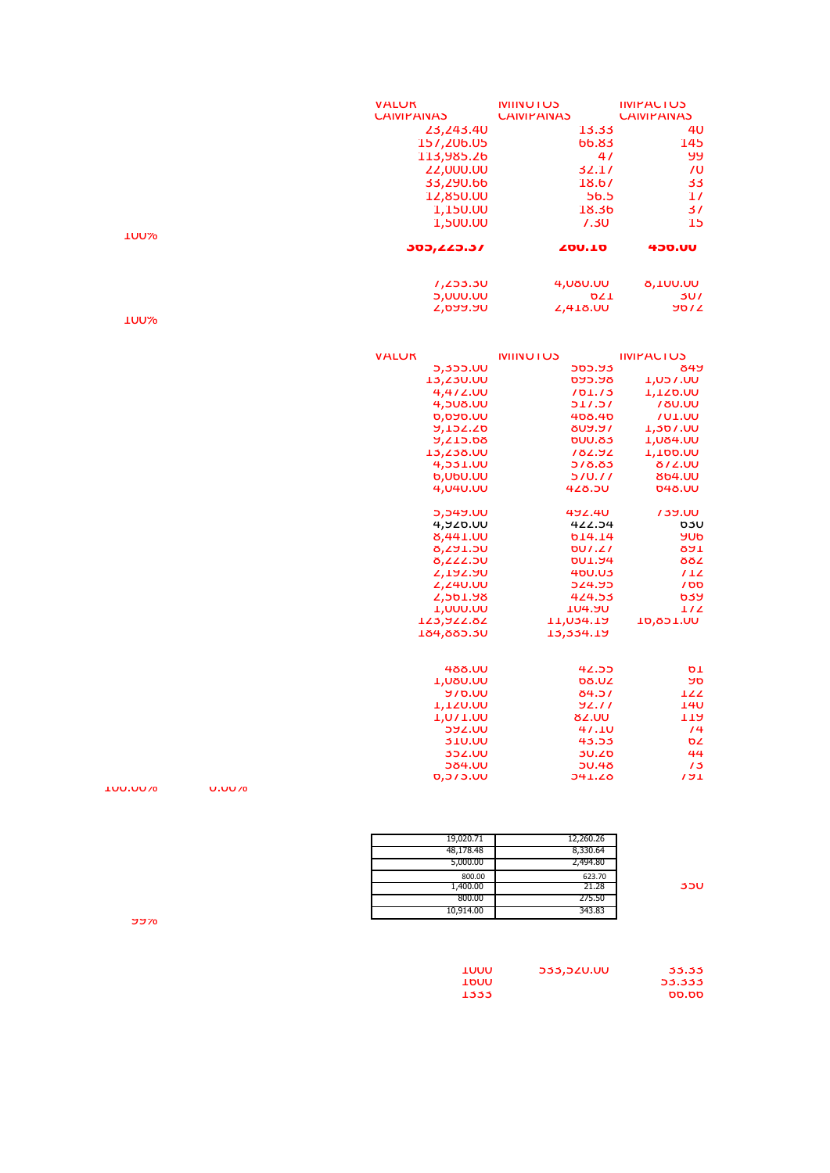|                 |               | <b>VALUK</b>                     | <b>IVIIIVU I US</b>           | <b>IIVIPALIUS</b>        |
|-----------------|---------------|----------------------------------|-------------------------------|--------------------------|
|                 |               | <b><i>LAIVIPAINAS</i></b>        | <b><i>LAIVIPAINAS</i></b>     | <b><i>LAIVIPANAS</i></b> |
|                 |               | 23,243.40                        | 13.33                         | 4 <sub>U</sub>           |
|                 |               | 157,206.05                       | <b>bb.83</b>                  | 145                      |
|                 |               | 113,985.26                       | 4/                            | ୳୳                       |
|                 |               | <b>ZZ,000.00</b>                 | 32.1/                         | $\overline{U}$           |
|                 |               | 33,290.66                        | 18.6/                         | 33                       |
|                 |               | 12,850.00                        | 56.5                          | 1/                       |
|                 |               | 1,150.00                         | 18.36                         | 31                       |
|                 |               | 1,500.00                         | 7.30                          | 15                       |
| <b>TOOYO</b>    |               |                                  |                               |                          |
|                 |               | 305,225.37                       | <b>200.10</b>                 | <b>450.UU</b>            |
|                 |               | 1,253.30                         | <b>4,080.00</b>               | <b>8,100.00</b>          |
|                 |               | <b>5,000.00</b>                  | <b>DZ1</b>                    | 3U7                      |
|                 |               | 7,099.90                         | <b>4,418.00</b>               | <b>9072</b>              |
| <b>TOOX</b>     |               |                                  |                               |                          |
|                 |               | <b>VALUK</b>                     | <b>IVIIIVU IUS</b>            | <b>IIVIPALIUS</b>        |
|                 |               | 5,355.00                         | 565.93                        | 849                      |
|                 |               | <b>13,230.00</b>                 | <b>PAP.AR</b>                 | <b>1,057.00</b>          |
|                 |               | 4,4/2.00                         | 101.13                        | <b>1,120.00</b>          |
|                 |               | <b>4,508.00</b>                  | 711.71                        | <b>780.00</b>            |
|                 |               | <b>0,090.UU</b>                  | 408.40                        | <b>/U1.UU</b>            |
|                 |               | <b>9,152.20</b>                  | <b>AUY.51</b>                 | <b>1,307.00</b>          |
|                 |               | 9,215.08                         | <b>DUU.83</b>                 | <b>L,U84.UU</b>          |
|                 |               | 13, 238. UU                      | 182.92                        | <b>1,100.00</b>          |
|                 |               | 4,531.UU                         | 578.85                        | 872.UU                   |
|                 |               | <b>b, UbU.UU</b>                 | 570.77                        | <b>804.UU</b>            |
|                 |               | 4,040.00                         | 428.5U                        | <b>048.UU</b>            |
|                 |               | 5,549.00                         | 492.40                        | <b>739.00</b>            |
|                 |               | 4,920.UU                         | 422.54                        | <b>b3U</b>               |
|                 |               | 8,441.UU                         | <b>b14.14</b>                 | <b>YUD</b>               |
|                 |               | 8,291.50                         | DU.21                         | <b>RAT</b>               |
|                 |               | 8,222.50                         | <b>DU1.94</b>                 | 882                      |
|                 |               | 7,192.90                         | 400.03                        | 712                      |
|                 |               | <b>Z,Z40.00</b>                  | 524.95                        | 700                      |
|                 |               | 7,201.98                         | 424.53                        | <b>639</b>               |
|                 |               | <b>1,000.00</b><br>123,922.82    | <b>T04.90</b>                 | 1/2                      |
|                 |               | 184,885.30                       | <b>TT'024'TA</b><br>13,334.19 | <b>10,851.UU</b>         |
|                 |               |                                  |                               |                          |
|                 |               | <b>488.UU</b>                    | 42.55<br><b>08.UZ</b>         | ΩT<br>ספ                 |
|                 |               | <b>1,080.00</b><br><b>970.00</b> | 84.57                         | 122                      |
|                 |               | 1,120.00                         | 92.11                         | <b>140</b>               |
|                 |               | <b>T'ON T'OO</b>                 | 82.UU                         | 112                      |
|                 |               | <b>PASS</b>                      | 41.10                         | /4                       |
|                 |               | <b>JJU.UU</b>                    | 43.55                         | σZ                       |
|                 |               | <b>352.00</b>                    | <b>30.20</b>                  | 44                       |
|                 |               | <b>584.UU</b>                    | <b>50.48</b>                  | 13                       |
|                 |               | 0,010.00                         | <b>J41.40</b>                 | 17 <sub>1</sub>          |
| <b>IUU.UU70</b> | <b>U.UU70</b> |                                  |                               |                          |

 19,020.71 12,260.26 48,178.48 8,330.64 5,000.00 2,494.80 800.00 **623.70**<br>1,400.00 **1,400.00 21.28** 35U<br>800.00 275.50 10,914.00 343.83

99%

| TOUU  | 533,520.00 | 33.33  |
|-------|------------|--------|
| TPOO  |            | 53.333 |
| 1333. |            | bb.bb  |